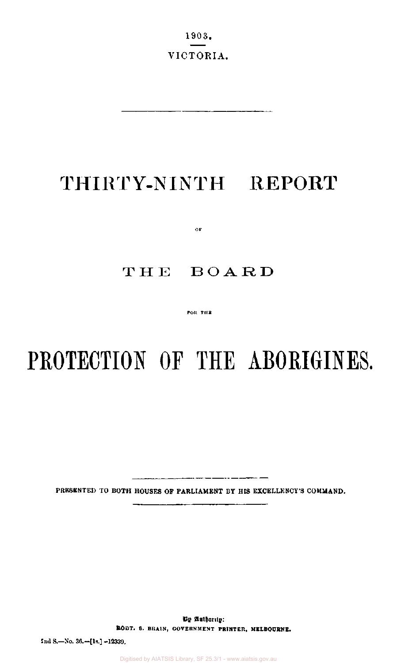1903. VICTORIA.

# THIRTY-NINTH REPORT

OF.

THE BOARD

POR THE

# **PROTECTION OF THE ABORIGINES.**

PRESENTED TO BOTH HOUSES OF PARLIAMENT BY HIS EXCELLENCY'S COMMAND.

**By Authority: ROBT. S. BRAIN, GOVERNMENT PRINTER, MELBOURNE.** 

**2nd S.—No. 36.—[Is.] -12339.**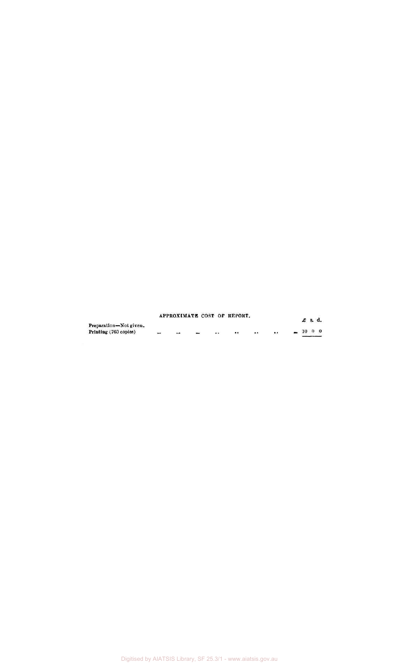|                                                 |        |                          | APPROXIMATE COST OF REPORT. |               |         | £ s. d.    |
|-------------------------------------------------|--------|--------------------------|-----------------------------|---------------|---------|------------|
| Preparation-Not given.<br>Printing (760 copies) | $\sim$ | $\overline{\phantom{a}}$ | <br>                        | <br>$\bullet$ | $-1000$ | __________ |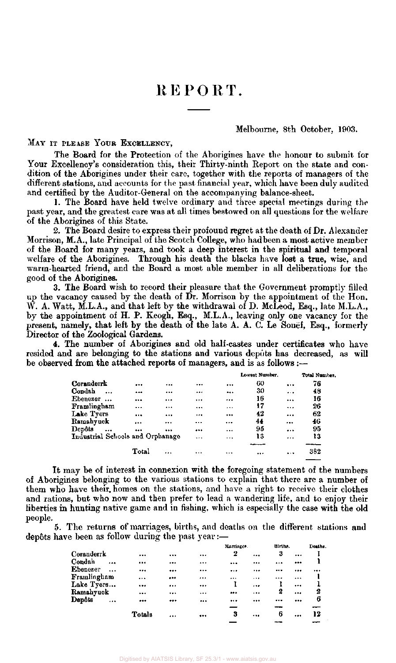# REPORT.

#### Melbourne, 8th October, 1903.

MAY IT PLEASE YOUR EXCELLENCY,

The Board for the Protection of the Aborigines have the honour to submit for Your Excellency's consideration this, their Thirty-ninth Report on the state and condition of the Aborigines under their care, together with the reports of managers of the different stations, and accounts for the past financial year, which have been duly audited and certified by the Auditor-General on the accompanying balance-sheet.

1. The Board have held twelve ordinary and three special meetings during the past year, and the greatest care was at all times bestowed on all questions for the welfare of the Aborigines of this State.

2. The Board desire to express their profound regret at the death of Dr. Alexander Morrison, M.A., late Principal of the Scotch College, who had been a most active member of the Board for many years, and took a deep interest in the spiritual and temporal welfare of the Aborigines. Through his death the blacks have lost a true, wise, and warm-hearted friend, and the Board a most able member in all deliberations for the good of the Aborigines.

3. The Board wish to record their pleasure that the Government promptly filled up the vacancy caused by the death of Dr. Morrison by the appointment of the Hon. W. A. Watt, M.L.A., and that left by the withdrawal of D. McLeod, Esq., late M.L.A., by the appointment of H. P. Keogh, Esq., M.L.A., leaving only one vacancy for the present, namely, that left by the death of the late A. A. C. Le Souef, Esq., formerly Director of the Zoological Gardens.

4. The number of Aborigines and old half-castes under certificates who have resided and are belonging to the stations and various depots has decreased, as will be observed from the attached reports of managers, and is as follows :—

|                                  |          |                             |          | Lowest Number. |          | Total Number. |
|----------------------------------|----------|-----------------------------|----------|----------------|----------|---------------|
| Coranderrk                       | $***$    | <br>                        |          | 60             | $\cdots$ | 76            |
| Condah<br>$\ddotsc$              | $\cdots$ | <br>                        | $$       | 30             | $\cdots$ | 48            |
| Ebenezer                         |          | <br>                        |          | 16             |          | 16            |
| Framlingham                      |          | <br>                        |          | 17             |          | 26            |
| Lake Tyers                       |          | <br>                        |          | 42             |          | 62            |
| Ramahyuck                        | $\cdots$ | <br>                        |          | 44             |          | 46            |
| Depôts<br>$\ddotsc$              |          | <br>$\bullet\bullet\bullet$ |          | 95             |          | 95            |
| Industrial Schools and Orphanage |          |                             | $\cdots$ | 13             |          | 13            |
|                                  |          |                             |          |                |          |               |
|                                  | Total    |                             |          |                | $\cdots$ | 382           |
|                                  |          |                             |          |                |          |               |

It may be of interest in connexion with the foregoing statement of the numbers of Aborigines belonging to the various stations to explain that there are a number of them who have their, homes on the stations, and have a right to receive their clothes and rations, but who now and then prefer to lead a wandering life, and to enjoy their liberties in hunting native game and in fishing, which is especially the case with the old people.

5. The returns of marriages, births, and deaths on the different stations and depôts have been as follow during the past year: $-$ 

|                           |        |              | Marriages. |           | Births. |           | Deaths. |
|---------------------------|--------|--------------|------------|-----------|---------|-----------|---------|
| Coranderrk                |        | <br>         | 2          |           | 3       | $\cdots$  |         |
| Condah<br>$\ddotsc$       |        | <br>         |            |           |         |           |         |
| Ebenezer<br>$\ddotsc$     |        | <br>         |            |           |         |           |         |
| Framlingham               |        | <br>         |            | $\cdots$  |         | $\cdots$  | -1      |
| Lake Tyers                |        | <br>         |            |           |         | $\ddotsc$ |         |
| Ramahyuck                 |        | <br>$\cdots$ | $$         | $\ddotsc$ | 2       |           | 2       |
| <b>Depôts</b><br>$\cdots$ |        | <br>         |            |           |         |           | 6       |
|                           |        |              |            |           |         |           |         |
|                           | Totals | <br>         | з          |           | 6       |           | 12      |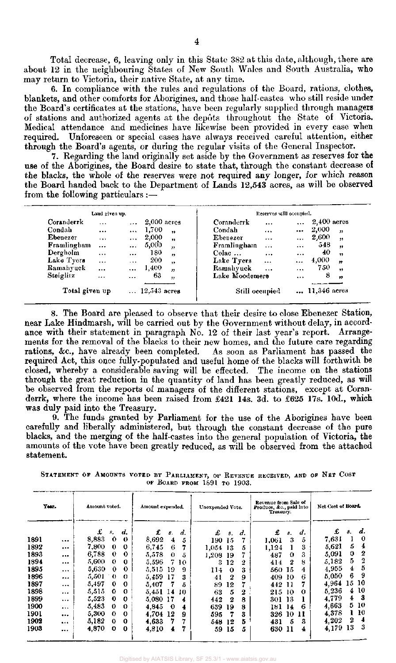Total decrease, 6, leaving only in this State 382 at this date, although, there are about 12 in the neighbouring States of New South Wales and South Australia, who may return to Victoria, their native State, at any time.

6. In compliance with the rules and regulations of the Board, rations, clothes, blankets, and other comforts for Aborigines, and those half-castes who still reside under the Board's certificates at the stations, have been regularly supplied through managers of stations and authorized agents at the depôts throughout the State of Victoria. Medical attendance and medicines have likewise been provided in every case when required. Unforeseen or special cases have always received careful attention, either through the Board's agents, or during the regular visits of the General Inspector.

7. Regarding the land originally set aside by the Government as reserves for the use of the Aborigines, the Board desire to state that, through the constant decrease of the blacks, the whole of the reserves were not required any longer, for which reason the Board handed back to the Department of Lands 12,543 acres, as will be observed from the following particulars :—

|                | Land given up.                |           |                                     | Reserves still occupied.     |          |              |                  |
|----------------|-------------------------------|-----------|-------------------------------------|------------------------------|----------|--------------|------------------|
| Coranderrk     | $\cdots$                      | $\cdots$  | $2,000$ acres                       | Coranderrk<br>$\cdots$       | $\cdots$ | 2,400 acres  |                  |
| Condah         | $\cdots$                      | $\cdots$  | 1,700<br>$\bullet\bullet$           | Condah<br>$\cdots$           | $\cdots$ | 2,000        | $_{\rm H}$       |
| Ebenezer       | $\ldots$                      | $\cdots$  | 2,000<br>$\overline{\mathbf{v}}$    | Ebenezer<br>$\cdots$         | $\cdots$ | 2,600        | $, \,$           |
| Framlingham    | $\ddotsc$                     | $\cdots$  | 5,000<br>$^{\prime}$                | Framlingham<br>              | $\cdots$ | 548          | , ,              |
| Dergholm       | $\cdots$                      | $\cdots$  | 180<br>$\boldsymbol{v}$             | $Co$ <i>lac</i> $\ldots$<br> | $\cdots$ | 40           | $^{\ast}$        |
| Lake Tyers     | $\cdots$                      | $\cdots$  | 200<br>$^{\prime\prime}$            | Lake Tyers<br>$\cdots$       |          | 4,000        | $\boldsymbol{r}$ |
| Ramahyuck      | $\bullet$ $\bullet$ $\bullet$ | $\cdots$  | 1,400<br>$\boldsymbol{\mathcal{D}}$ | Ramahyuck<br>$\cdots$        |          | 750          | , ,              |
| Steiglitz      |                               | $\ddotsc$ | 63<br>$\bullet$                     | Lake Moodemere               | $\cdots$ | 8            | $^{\bullet}$     |
| Total given up |                               |           | $ 12,543$ acres                     | Still occupied               |          | 11,346 acres |                  |

8. The Board are pleased to observe that their desire to close Ebenezer Station, near Lake Hindmarsh, will be carried out by the Government without delay, in accord-<br>ance with their statement in paragraph No. 12 of their last vear's renort. Arrangeance with their statement in paragraph No. 12 of their last year's report. ments for the removal of the blacks to their new homes, and the future care regarding rations, &c., have already been completed. As soon as Parliament has passed the rations, &c., have already been completed. required Act, this once fully-populated and useful home of the blacks will forthwith be closed, whereby a considerable saving will be effected. The income on the stations through the great reduction in the quantity of land has been greatly reduced, as will be observed from the reports of managers of the different stations, except at Coranderrk, where the income has been raised from £421 14s. 3d. to £625 17s. 10d., which was duly paid into the Treasury.

9. The funds granted by Parliament for the use of the Aborigines have been carefully and liberally administered, but through the constant decrease of the pure blacks, and the merging of the half-castes into the general population of Victoria, the amounts of the vote have been greatly reduced, as will be observed from the attached statement.

STATEMENT OF AMOUNTS VOTED BY PARLIAMENT, OF REVENUE RECEIVED, AND OF NET COST OF BOARD FROM 1891 TO 1903.

| Year. |          | Amount voted. |          |                   | Amount expended. |     |    | Unexpended Vote. |     |    | Revenue from Sale of<br>Produce, &c., paid into<br>Treasury. |     |    | Net Cost of Board. |    |     |
|-------|----------|---------------|----------|-------------------|------------------|-----|----|------------------|-----|----|--------------------------------------------------------------|-----|----|--------------------|----|-----|
|       |          | £             | 8.       | $\boldsymbol{d.}$ | £                | \$. | d. | £                | 8.  | d. | £                                                            | 8.  | d. | £                  | з. | d.  |
| 1891  |          | 8,883         | 0        | $\mathbf 0$       | 8,692            | 4   | 5  | 190              | 15  |    | 1.061                                                        | 3   | Ð  | 7,631              | I  | 0   |
| 1892  |          | 7,800         | 0        | 0                 | 6,745            | 6   | 7  | 1,054            | -13 | 5  | 1,124                                                        |     | 3  | 5,621              | 5  | 4   |
| 1893  |          | 6,788         | 0        | 0                 | 5,578            | 0   | 5  | 1,208            | 19  |    | 487                                                          | 0   | 3  | 5,091              | 0  | 2   |
| 1894  |          | 5,600         | 0        | 0                 | 5,596            | 7   | 10 | 3                | 12  | 2  | 414                                                          | 2   | 8  | 5,182              | 5  | 2   |
| 1895  | $\cdots$ | 5,630         | 0        | 0                 | 5.515            | 19  | 9  | 114.             | 0   | 3  | 560                                                          | 15  | 4  | 4,955              | 4  | 5   |
| 1896  |          | 5,501         | $_{0}$   | 0                 | 5,459            | 17  | 3  | 41               | 2   | 9  | 409.                                                         | -10 | 6  | 5,050              | 6  | 9   |
| 1897  |          | 5,497         | 0        | 0                 | 5,407            |     | 5  | 89               | 12  | 7  | 442                                                          | 11  | 7  | 4,964              | 5  | 10  |
| 1898  |          | 5,515         | 0        | 0                 | 5,451            | 14  | 10 | 63               | 5   | 2  | 215                                                          | 10  | 0  | 5,236              | 4. | 10  |
| 1899  | $\cdots$ | 5,523         | 0        | 0                 | 5,080            | 17  | 4  | 442              | 2   | 8  | 301                                                          | 13  |    | 4,779              | 4  | 3   |
| 1900  | $\cdots$ | 5,483         | $\Omega$ | $\Omega$          | 4,845            | -0  | 4  | 639              | 19  | 8  | 181                                                          | 14  | 6  | 4,663              | 5  | 10  |
| 1901  |          | 5,300         | 0        | 0                 | 4.704            | 12  | 9  | 595              | 7   | 3  | 326                                                          | 10  | 11 | 4,378              |    | 110 |
| 1902  |          | 5,182         | 0        | 0                 | 4,633            | 7   | 7  | 548.             | 12  | Б  | 431                                                          | 5   | З  | 4,202              | 2  | 4   |
| 1903  |          | 4,870         | 0        | 0                 | 4,810            | 4   | 7  | 59               | 15  | 5  | 630                                                          | -11 | 4  | 4,179              | 13 | 3   |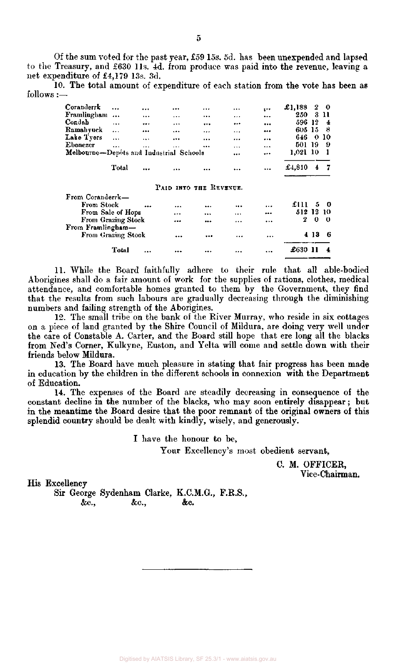Of the sum voted for the past year, £59 15s. 5d. has been unexpended and lapsed to the Treasury, and £630 11s. 4d. from produce was paid into the revenue, leaving a net expenditure of £4,179 13s. 3d.

10. The total amount of expenditure of each station from the vote has been as follows :—

| Coranderrk                              | $\ddotsc$ |           |                   |          | $\cdots$ | $1 -$     | £1,188     | 2  | - 0                     |
|-----------------------------------------|-----------|-----------|-------------------|----------|----------|-----------|------------|----|-------------------------|
| Framlingham                             |           | $\cdots$  |                   |          | $\cdots$ |           | 250        |    | 3 H                     |
| Condah                                  | $\cdots$  |           | $\sim$ 4.4 $\sim$ |          |          |           | 596 12     |    | $\overline{\mathbf{4}}$ |
| Ramahyuck                               | $\cdots$  |           |                   |          |          |           | 605 15     |    | -8                      |
| Lake Tyers                              | $\cdots$  | $\ddotsc$ |                   |          | $\cdots$ |           | 646        | 0  | -10                     |
| Ebenezer                                | $\cdots$  |           | $\cdots$          |          |          |           | 501        | 19 | -9                      |
| Melbourne-Depôts and Industrial Schools |           |           |                   |          |          |           | $1,021$ 10 |    |                         |
|                                         | Total     | $\cdots$  |                   | $\cdots$ | $\cdots$ | $\ddotsc$ | £4,810     | 4  | -7                      |
|                                         |           | -         |                   |          |          |           |            |    |                         |

#### PAID INTO THE REVENUE.

| Total<br>                               | <br>      | <br>$\cdots$ | £630      |     |     |
|-----------------------------------------|-----------|--------------|-----------|-----|-----|
| From Framlingham-<br>From Grazing Stock | <br>      | <br>$\cdots$ |           | 413 |     |
| From Grazing Stock                      | <br>      | <br>         | 2         | 0   | - 0 |
| From Sale of Hops                       | <br>      | <br>$$       | 512 12 10 |     |     |
| From Stock<br>                          | <br>$***$ | <br>         | £111      |     |     |
| From Coranderrk—                        |           |              |           |     |     |

11. While the Board faithfully adhere to their rule that all able-bodied Aborigines shall do a fair amount of work for the supplies of rations, clothes, medical attendance, and comfortable homes granted to them by the Government, they find that the results from such labours are gradually decreasing through the diminishing numbers and failing strength of the Aborigines.

12. The small tribe on the bank of the River Murray, who reside in six cottages on a piece of land granted by the Shire Council of Mildura, are doing very well under the care of Constable A. Carter, and the Board still hope that ere long all the blacks from Ned's Corner, Kulkyne, Euston, and Yelta will come and settle down with their friends below Mildura.

13. The Board have much pleasure in stating that fair progress has been made in education by the children in the different schools in connexion with the Department of Education.

14. The expenses of the Board are steadily decreasing in consequence of the constant decline in the number of the blacks, who may soon entirely disappear; but in the meantime the Board desire that the poor remnant of the original owners of this splendid country should be dealt with kindly, wisely, and generously.

I have the honour to be,

Your Excellency's most obedient servant,

C. M. OFFICER, Vice-Chairman.

His Excellency

Sir George Sydenham Clarke, K.C.M.G., F.R.S., &c, &c, &c.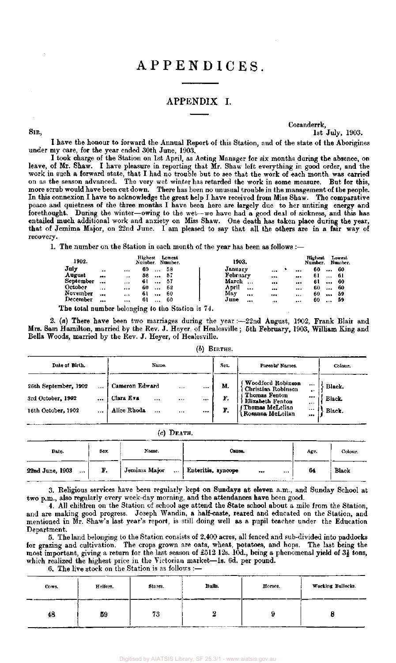# APPENDICES .

## APPENDIX I.

Coranderrk, 1st July, 1903.

I have the honour to forward the Annual Report of this Station, and of the state of the Aborigines under my care, for the year ended 30th June, 1903.

I took charge of the Station on 1st April, as Acting Manager for six months during the absence, on leave, of Mr. Shaw. I have pleasure in reporting that Mr. Shaw left everything in good order, and the work in such a forward state, that I had no trouble but to see that the work of each month was carried on as the season advanced. The very wet winter has retarded the work in some measure. But for this, more scrub would have been cut down. There has been no unusual trouble in the management of the people. In this connexion I have to acknowledge the great help I have received from Miss Shaw. The comparative peace and quietness of the three months I have been here are largely due to her untiring energy and forethought. During the winter—owing to the wet—we have had a good deal of sickness, and this has entailed much additional work and anxiety on Miss Shaw. One death has taken place during the year, that of Jemima Major, on 22nd June. I am pleased to say that all the others are in a fair way of recovery.

1. The number on the Station in each month of the year has been as follows :-

| 1902.     |           |          | Highest<br>Number. Number. | Lowest          |  | 1903.    |           |          |          | Highest<br>Number. |          | Lowest<br>Number. |
|-----------|-----------|----------|----------------------------|-----------------|--|----------|-----------|----------|----------|--------------------|----------|-------------------|
| July      | $\bullet$ |          | 60                         | 58<br>          |  | January  |           |          |          | 60                 | $\cdots$ | -60               |
| August    |           |          | 58                         | 57<br>          |  | February |           | $\cdots$ |          | 61                 |          | 61                |
| September | 1.14      | 1.1.4    | 6 I                        | 57<br>$\cdots$  |  | March    | $\ddotsc$ |          |          | 61                 | $$       | -60               |
| October   | $\cdots$  |          | 60                         | 62<br>          |  | April    |           |          |          | 60                 |          | -60               |
| November  |           | $\cdots$ | 6 L                        | -60<br>$\cdots$ |  | May      |           | 10.9     | $1 + 1$  | 60                 |          | -59               |
| December  |           |          | 61                         | 60<br>$1 + 4$   |  | June     |           | $-4 +$   | $\cdots$ | 60                 |          | -59               |

The total number belonging to the Station is 74.

SIR,

2. (a) There have been two marriages during the year :--22nd August, 1902, Frank Blair and Mrs. Sam Hamilton, married by the Rev. J. Heyer of Healesville 5th February, 1903, William King and Bella Woods, married by the Rev. J. Heyer, of Healesville.

*(b)* BIRTHS.

| Date of Birth.                                                  |                                                        | Name.        |                  |                    | Sex.           | Parents' Names.                                                                                                                               |                                       | Colour.                           |
|-----------------------------------------------------------------|--------------------------------------------------------|--------------|------------------|--------------------|----------------|-----------------------------------------------------------------------------------------------------------------------------------------------|---------------------------------------|-----------------------------------|
| 26th September, 1902<br>3rd October, 1902<br>16th October, 1902 | <br><br><br>Cameron Edward<br>Clara Eva<br>Alice Rhoda | <br>$\cdots$ | <br>$\cdots$<br> | $\cdots$<br><br>$$ | M.<br>F.<br>F. | Woodford Robinson<br>Christina Robinson<br>Thomas Fenton<br>Elizabeth Fenton<br>f <mark>Thomas McL</mark> ellan<br>  Rosann <b>a</b> McLellan | <br>$\bullet$<br><br>$\cdots$<br><br> | Black.<br><b>Black.</b><br>Black. |

| $\left(c\right)$ | DEATH. |
|------------------|--------|
|------------------|--------|

| Date.                       | Sex. | Name.        | Cause.                                     | Age. | Colour.      |
|-----------------------------|------|--------------|--------------------------------------------|------|--------------|
| 22nd June, 1903<br>$\cdots$ | F.   | Jemima Major | Enteritis, syncope<br>$\cdots$<br>$\cdots$ | 64   | <b>Black</b> |

3. Religious services have been regularly kept on Sundays at eleven a.m., and Sunday School at two p.m., also regularly every week-day morning, and the attendances have been good.

4. All children on the Station of school age attend the State school about a mile from the Station, and are making good progress. Joseph Wandin, a half-caste, reared and educated on the Station, and mentioned in Mr. Shaw's last year's report, is still doing well as a pupil teacher under the Education Department.

5. The land belonging to the Station consists of 2,400 acres, all fenced and sub-divided into paddocks for grazing and cultivation. The crops grown are oats, wheat, potatoes, and hops. The last being the most important, giving a return for the last season of £512 12s. 10d., being a phenomenal yield of 3} tons, which realized the highest price in the Victorian market—Is. 6d. per pound.

| 6. The live stock on the Station is as follows $:$ – |  |  |
|------------------------------------------------------|--|--|
|------------------------------------------------------|--|--|

| Cows. | Heifers. | Sterrs. | ----<br>Bulls. | --<br>Horses.    | --------<br>Working Bullocks. |
|-------|----------|---------|----------------|------------------|-------------------------------|
| 48    | 59       | 73      |                | ______<br>------ |                               |

Digitised by AIATSIS Library,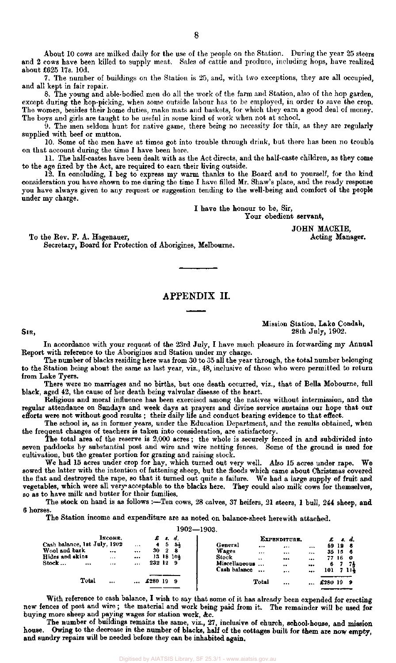About 10 cows are milked daily for the use of the people on the Station. During the year 25 steers and 2 cows have been killed to supply meat. Sales of cattle and produce, including hops, have realized about £625 17s. 10d.

7. The number of buildings on the Station is 25, and, with two exceptions, they are all occupied, and all kept in fair repair.

8. The young and able-bodied men do all the work of the farm and Station, also of the hop garden, except during the hop-picking, when some outside labour has to be employed, in order to save the crop. The women, besides their home duties, make mats and baskets, for which they earn a good deal of money. The boys and girls are taught to be useful in some kind of work when not at school.

9. The men seldom hunt for native game, there being no necessity for this, as they are regularly supplied with beef or mutton.

10. Some of the men have at times got into trouble through drink, but there has been no trouble on that account during the time I have been here.

11. The half-castes have been dealt with as the Act directs, and the half-caste children, as they come to the age fixed by the Act, are required to earn their living outside.

12. In concluding, I beg to express my warm thanks to the Board and to yourself, for the kind consideration you have shown to me during the time I have filled Mr. Shaw's place, and the ready response you have always given to any request or suggestion tending to the well-being and comfort of the people under my charge.

I have the honour to be, Sir,

Your obedient servant,

JOHN MACKIE,<br>Acting Manager.

To the Rev. F. A. Hagenauer, Secretary, Board for Protection of Aborigines, Melbourne.

# APPENDIX II.

Mission Station, Lake Condah, Sin, 28th July, 1902.

In accordance with your request of the 23rd July, I have much pleasure in forwarding my Annual Report with reference to the Aborigines and Station under my charge.

The number of blacks residing here was from 30 to 35 all the year through, the total number belonging to the Station being about the same as last year, viz., 48, inclusive of those who were permitted to return from Lake Tyers.

There were no marriages and no births, but one death occurred, viz., that of Bella Mobourne, full black, aged 42, the cause of her death being valvular disease of the heart.

Religious and moral influence has been exercised among the natives without intermission, and the regular attendance on Sundays and week days at prayers and divine service sustains our hope that our efforts were not without good results ; their daily life and conduct bearing evidence to that effect.

The school is, as in former years, under the Education Department, and the results obtained, when the frequent changes of teachers is taken into consideration, are satisfactory.

The total area of the reserve is 2,000 acres ; the whole is securely fenced in and subdivided into seven paddocks by substantial post and wire and wire netting fences. Some of the ground is used for cultivation, but the greater portion for grazing and raising stock.

We had 15 acres under crop for hay, which turned out very well. Also 15 acres under rape. We sowed the latter with the intention of fattening sheep, but the floods which came about Christmas covered the flat and destroyed the rape, so that it turned out quite a failure. We had a large supply of fruit and vegetables, which were all very acceptable to the blacks here. They could also milk cows for themselves, so as to have milk and butter for their families.

The stock on hand is as follows :- Ten cows, 28 calves, 37 heifers, 21 steers, 1 bull, 244 sheep, and 6 horses.

The Station income and expenditure are as noted on balance-sheet herewith attached.

1902- -1903.

|                              |       | Іксомв.  |          |           |    | . . d.    |               |                      | EXPENDITURE.   |          |           |                 | <b>r</b> d. |  |
|------------------------------|-------|----------|----------|-----------|----|-----------|---------------|----------------------|----------------|----------|-----------|-----------------|-------------|--|
| Cash balance, 1st July, 1902 |       |          | $\cdots$ | 4         | 5  | 54        | General       |                      | $\overline{a}$ |          |           | 59 12 8         |             |  |
| Wool and bark                |       |          |          | 30.       | 2. | -8        | Wages         |                      |                |          |           | $35 \; 15 \; 6$ |             |  |
| Hides and skins              |       | $***$    | $$       |           |    | 13 18 104 | Stock         | $\ddot{\phantom{1}}$ |                | $$       |           | 77 16 0         |             |  |
| Stock …                      |       | $\cdots$ |          | 232 12    |    | -9        | Miscellaneous | $\cdots$             | $\cdots$       |          | 6.        |                 | -7 - 74     |  |
|                              |       |          |          |           |    |           | Cash balance  |                      | $\cdots$       | $$       | 101       |                 | 7 114       |  |
|                              |       |          |          |           |    |           |               |                      |                |          |           |                 |             |  |
|                              | Total | 1.11     |          | $£280$ 19 |    | -9        |               | Total                |                | $\cdots$ | £280 19 9 |                 |             |  |
|                              |       |          |          |           |    |           |               |                      |                |          |           |                 |             |  |

With reference to cash balance, I wish to say that some of it has already been expended for erecting new fences of post and wire ; the material and work being paid from it. The remainder will be used for buying more sheep and paying wages for station work, &c.

The number of buildings remains the same, viz., 27, inclusive of church, school-house, and mission house. Owing to the decrease in the number of blacks, half of the cottages built for them are now empty, and sundry repairs will be needed before they can be inhabited again.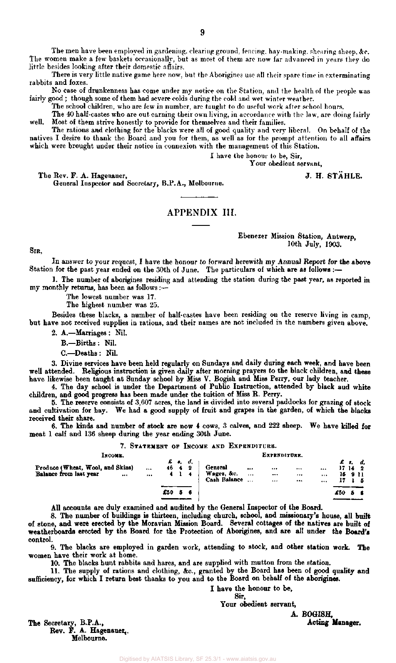The men have been employed in gardening, clearing ground, fencing, hay-making, shearing sheep. &c. The women make a few baskets occasionally, but as most of them are now far advanced in years they do little besides looking after their domestic affairs.

There is very little native game here now. but the Aborigines use all their spare time in exterminating rabbits and foxes.

No case of drunkenness has come under my notice on the Station, and the health of the people was fairly good ; though some of them had severe colds during the cold and wet winter weather.

The school children, who are few in number, are taught to do useful work after school hours.

The 40 half-castes who are out earning their own living, in accordance with the law, are doing fairly well. Most of them strive honestly to provide for themselves and their families.

The rations and clothing for the blacks were all of good quality and very liberal. On behalf of the natives I desire to thank the Board and you for them, as well as for the prompt attention to all affairs which were brought under their notice in connexion with the management of this Station.

I have the honour to be, Sir,

Your obedient servant,

The Rev. F. A. Hagenauer,  $J. H. S T A H L E.$ 

General Inspector and Secretary, B.P.A., Melbourne.

# APPENDIX III.

#### Ebenezer Mission Station, Antwerp, 10th July, 1903.

SIR,

In answer to your request, I have the honour to forward herewith my Annual Report for the above Station for the past year ended on the 30th of June. The particulars of which are as follows :—

1. The number of aborigines residing and attending the station during the past year, as reported in my monthly returns, has been as follows:—

The lowest number was 17.

The highest number was 25.

Besides these blacks, a number of half-castes have been residing on the reserve living in camp, but have not received supplies in rations, and their names are not included in the numbers given above.

2. A.—Marriages : Nil.

B.—Births: Nil.

C—Deaths: Nil.

3. Divine services have been held regularly on Sundays and daily during each week, and have been well attended. Religious instruction is given daily after morning prayers to the black children, and these have likewise been taught at Sunday school by Miss V. Bogish and Miss Perry, our lady teacher.

4. The day school is under the Department of Public Instruction, attended by black and white children, and good progress has been made under the tuition of Miss R. Perry.

5. The reserve consists of 3,607 acres, the land is divided into several paddocks for grazing of stock and cultivation for hay. We had a good supply of fruit and grapes in the garden, of which the blacks received their share.

6. The kinds and number of stock are now 4 cows, 3 calves, and 222 sheep. We have killed for meat 1 calf and 136 sheep during the year ending 30th June.

#### 7. STATEMENT OF INCOME AND EXPENDITURE.

| Ілсомв.                                                                |                      |          |   |                  |                                       |              | EXPENDITURE.             |                          |                          |     |       |                                |
|------------------------------------------------------------------------|----------------------|----------|---|------------------|---------------------------------------|--------------|--------------------------|--------------------------|--------------------------|-----|-------|--------------------------------|
| Produce (Wheat, Wool, and Skins)<br>Balance from last year<br>$\cdots$ | $\cdots$<br>$\cdots$ | $46 + 2$ |   | £ e. d.<br>4 1 4 | General<br>Wages, &c.<br>Cash Balance | <br>$\cdots$ | $\cdots$<br><br>$\cdots$ | <br>$\cdots$<br>$\cdots$ | $\cdots$<br>$\cdots$<br> |     | 15911 | £ s. d.<br>17142<br>$17 \pm 5$ |
|                                                                        |                      |          |   |                  |                                       |              |                          |                          |                          |     |       |                                |
|                                                                        |                      | £50.     | Б | 6                |                                       |              |                          |                          |                          | £50 | -6    |                                |
|                                                                        |                      |          |   |                  |                                       |              |                          |                          |                          |     |       |                                |

All accounts are duly examined and audited by the General Inspector of the Board.

8. The number of buildings is thirteen, including church, school, and missionary's house, all built of stone, and were erected by the Moravian Mission Board. Several cottages of the natives are built of weatherboards erected by the Board for the Protection of Aborigines, and are all under the **Board's**  control.

9. The blacks are employed in garden work, attending to stock, and other station work. **The**  women have their work at home.

10. The blacks hunt rabbits and hares, and are supplied with mutton from the station.

11. The supply of rations and clothing, Ac., granted by the Board has been of good quality and sufficiency, for which I return best thanks to you and to the Board on behalf of the aborigines.

#### I have the honour to be,

Sir,

Your obedient servant,

The Secretary, B.P.A., Rev. F. A. Hagenauer,. Melbourne.

**A. BOGISH,**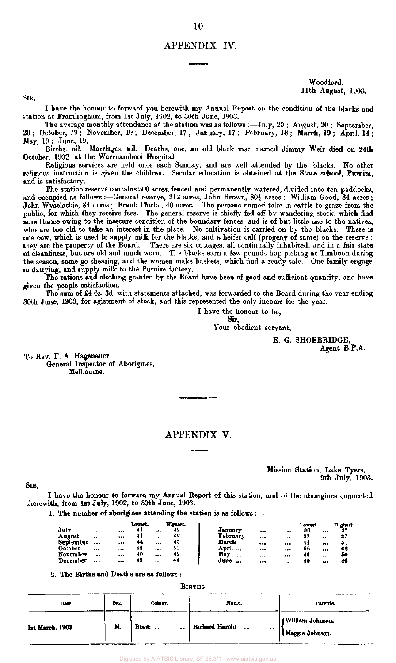## APPENDIX IV.

Woodford, 11th August, 1903.

SIR,

I have the honour to forward you herewith my Annual Report on the condition of the blacks and station at Framlingham, from 1st July, 1902, to 30th June, 1903.

The average monthly attendance at the station was as follows :—July, 20 ; August, 20 ; September, 20 ; October, 19 ; November, 19 ; December, 17 ; January, 17 ; February, 18 ; March, 19 ; April, 14 ; May, 19 ; June, 19.

Births, nil. Marriages, nil. Deaths, one, an old black man named Jimmy Weir died on 24th October, 1902, at the Warrnambool Hospital.

Religious services are held once each Sunday, and are well attended by the blacks. No other religious instruction is given the children. Secular education is obtained at the State school, Purnim, and is satisfactory.

The station reserve contains 500 acres, fenced and permanently watered, divided into ten paddocks, and occupied as follows :—General reserve,  $212$  acres, John Brown,  $80\frac{1}{2}$  acres ; William Good,  $84$  acres ; John Wyselaskie, 84 acres ; Frank Clarke, 40 acres. The persons named take in cattle to graze from the public, for which they receive fees. The general reserve is chiefly fed off by wandering stock, which find admittance owing to the insecure condition of the boundary fences, and is of but little use to the natives, who are too old to take an interest in the place. No cultivation is carried on by the blacks. There is one cow, which is used to supply milk for the blacks, and a heifer calf (progeny of same) on the reserve ; they are the property of the Board. There are six cottages, all continually inhabited, and in a fair state of cleanliness, but are old and much worn. The blacks earn a few pounds hop-picking at Timboon during the season, some go shearing, and the women make baskets, which find a ready sale. One family engage in dairying, and supply milk to the Purnim factory.

The rations and clothing granted by the Board have been of good and sufficient quantity, and have given the people satisfaction.

The sum of £4 6s. 3d. with statements attached, was forwarded to the Board during the year ending 30th June, 1903, for agistment of stock, and this represented the only income for the year.

I have the honour to be,

Sir,

Your obedient servant,

E. G. SHOEBRIDGE, Agent B.P.A.

To Rev. F. A. Hagenauer, General Inspector of Aborigines, Melbourne.

### APPENDIX V.

Mission Station, Lake Tyers, 9th July, 1903.

I have the honour to forward my Annual Report of this station, and of the aborigines connected therewith, from 1st July, 1902, to 30th June, 1903.

1. The number of aborigines attending the station is as follows :—

|           |          |     | Lowest. | Highest. |              |        | Lowest. |           | <b>Highest</b> . |
|-----------|----------|-----|---------|----------|--------------|--------|---------|-----------|------------------|
| July      |          |     | 41      | <br>42   | January      | <br>   | 36      |           | 37               |
| August    |          |     |         | <br>42   | February     | <br>   | 37      |           | 37               |
| September |          | *** | 44      | <br>45   | March        | <br>$$ | 44      | $\cdots$  | 51               |
| October   | $\cdots$ |     | 48      | <br>50   | April        | <br>   | 56      |           | 62               |
| November  |          |     | 40      | <br>42   | May<br>      | <br>   | 46      | $\bullet$ | 50               |
| December  |          | $$  | 43      | <br>44   | June<br>-444 | <br>   | 45      | $***$     | 46               |

2. The Births and Deaths are as follows :—

BIRTHS.

| Date.           | Sex.<br>Colour. |                    | Name.                                 | Parents.                               |
|-----------------|-----------------|--------------------|---------------------------------------|----------------------------------------|
| lat March, 1903 | M.              | Black<br>$\bullet$ | Richard Harold<br>$\overline{11}$<br> | , (William Johnson,<br>Maggie Johnson. |

SIR,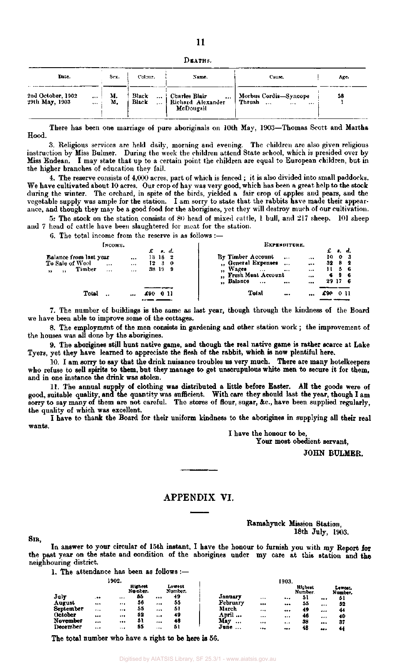| А. | тн | ×. |
|----|----|----|

| Date.                                               | Sex.<br>Coleur. |                                        | Name.                                                                                   | Cause.                                      | Age. |
|-----------------------------------------------------|-----------------|----------------------------------------|-----------------------------------------------------------------------------------------|---------------------------------------------|------|
| 2nd October, 1902<br><br>29th May, 1903<br>$\cdots$ | м.<br>м.        | Black<br>$\cdots$<br>Black<br>$\cdots$ | <b>Charles Blair</b><br>$\mathbf{r}$ and $\mathbf{r}$<br>Richard Alexander<br>McDougall | Morbus Cordis-Syncope<br>Thrush<br>$\cdots$ | 58   |

There has been one marriage of pure aboriginals on 10th May, 1903—Thomas Scott and Martha Hood.

3. Religious services are held daily, morning and evening. The children are also given religious instruction by Miss Bulmer. During the week the children attend State school, which is presided over by Miss Endean. I may state that up to a certain point the children are equal to European children, but in the higher branches of education they fail.

4. The reserve consists of 4,000 acres, part of which is fenced ; it is also divided into small paddocks. We have cultivated about 10 acres. Our crop of hay was very good, which has been a great help to the stock during the winter. The orchard, in spite of the birds, yielded a fair crop of apples and pears, and the vegetable supply was ample for the station. I am sorry to state that the rabbits have made their appearance, and though they may be a good food for the aborigines, yet they will destroy much of our cultivation.

5: The stock on the station consists of 80 head of mixed cattle, 1 bull, and *217* sheep. 101 sheep and 7 head of cattle have been slaughtered for meat for the station.

6. The total income from the reserve is as follows :—

|                               |                        | Інсоме.  |           |          |                      |                      | EXPENDITURE.          |          |          |      |                |    |
|-------------------------------|------------------------|----------|-----------|----------|----------------------|----------------------|-----------------------|----------|----------|------|----------------|----|
|                               |                        |          |           | £ s. d.  |                      |                      |                       |          |          |      | £ 2. d.        |    |
|                               | Balance from last year |          |           | 13 18 2  |                      | By Timber Account    |                       | $\cdots$ |          | 10.  | 0 <sup>3</sup> |    |
|                               | To Sale of Wool        | $\cdots$ | <br>12    | -3<br>-0 |                      | ., General Expenses  |                       | $\cdots$ |          |      | 32882          |    |
| $\bullet\bullet$<br>$, \, \,$ | Timber                 | $***$    | <br>38 19 | - 9      | $^{\tiny{\text{+}}}$ | Wages.               | $\bullet$ + $\bullet$ | $\cdots$ | $\cdots$ |      |                | 56 |
|                               |                        |          |           |          |                      | " Fresh Meat Account |                       |          |          | 6.   | 96             |    |
|                               |                        |          |           |          |                      | ", Balance           |                       |          |          |      | 29 17 6        |    |
|                               |                        |          |           |          |                      |                      |                       |          |          |      |                |    |
|                               | Total                  |          |           | 0 11     |                      |                      | Total                 |          |          | £90. | 0 H            |    |
|                               |                        |          |           |          |                      |                      |                       |          |          |      |                |    |

7. The number of buildings is the same as last year, though through the kindness of the Board we have been able to improve some of the cottages.

8. The employment of the men consists in gardening and other station work ; the improvement of the houses was all done by the aborigines.

9. The aborigines still hunt native game, and though the real native game is rather scarce at Lake Tyers, yet they have learned to appreciate the flesh of the rabbit, which is now plentiful here.

10. I am sorry to say that the drink nuisance troubles us very much. There are many hotelkeepers who refuse to sell spirits to them, but they manage to get unscrupulous white men to secure it for them, and in one instance the drink was stolen.

11. The annual supply of clothing was distributed a little before Easter. All the goods were of good, suitable quality, and the quantity was sufficient. With care they should last the year, though I am sorry to say many of them are not careful. The stores of flour, sugar, &c, have been supplied regularly, the quality of which was excellent.

I have to thank the Board for their uniform kindness to the aborigines in supplying all their real wants.

> I have the honour to be, Your most obedient servant,

> > JOHN BULMER.

### APPENDIX VI.

Ramahyuck Mission Station, 18th July, 1903.

SIR, In answer to your circular of 15th instant, I have the honour to furnish you with my Report for the past year on the state and condition of the aborigines under my care at this station and the neighbouring district.

1. The attendance has been as follows :—

|           |          | 1902.    |                    |    |                   |          |          | 1903.    |                           |                    |
|-----------|----------|----------|--------------------|----|-------------------|----------|----------|----------|---------------------------|--------------------|
|           |          |          | Highest<br>Number. |    | Lowest<br>Number. |          |          |          | <b>Highest</b><br>Number. | Lewest.<br>Number. |
| July      | $+ + +$  |          | 65                 | $$ | 49                | January  | $\cdots$ | $\cdots$ | 51                        | <br>51             |
| August    | $***$    | $\cdots$ | 56                 |    | 55                | February | $\cdots$ |          | 55                        | <br>52             |
| September | $\cdots$ |          | 55                 |    | 51                | March    |          | $\cdots$ | 49                        | <br>44             |
| October   |          |          | 52                 |    | 49                | April    |          |          | 46                        | <br>40             |
| November  |          |          | 51                 |    | 48                | May<br>  |          | $\cdots$ | 38                        | <br>37             |
| December  | $\cdots$ |          | 55                 |    | 51                | June<br> |          |          | 48                        | <br>44             |

The total number who have a right to be here is 56.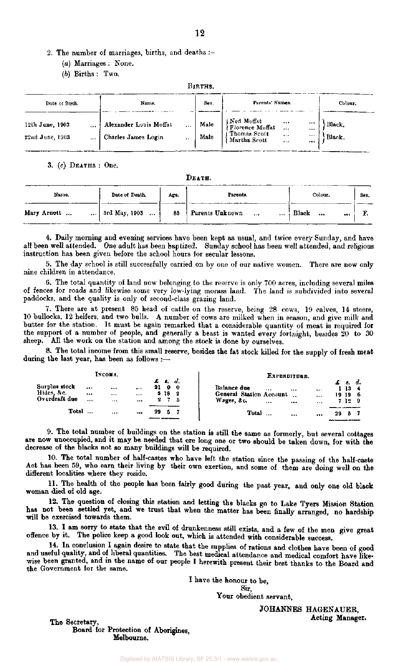- 2. The number of marriages, births, and deaths :—
	- *(a)* Marriages : None.
	- *(b)* Births : Two.

BIRTHS.

| Date of Birth.                         | Name.                                                                   | Sex.         | Parents' Names.                                                                                                | Colour.          |  |  |  |
|----------------------------------------|-------------------------------------------------------------------------|--------------|----------------------------------------------------------------------------------------------------------------|------------------|--|--|--|
| 12th June, 1903<br><br>22nd June, 1903 | Alexander Louis Moffat<br>$\cdots$<br><b>Charles James Login</b><br>. . | Male<br>Male | Ned Moffat)<br><br>$\cdots$<br>Florence Moffat<br><br><br>Thomas Scott<br><br>$\cdots$<br>Martha Scott<br><br> | Black.<br>Black. |  |  |  |

3. (c) DEATHS : One.

DEATH.

| Date of Death.<br>Name. |                                   | Age. | Parents.                        | Colour.       | Sex. |
|-------------------------|-----------------------------------|------|---------------------------------|---------------|------|
| Mary Arnott             | $\dots$ 3rd May, 1903<br>$\cdots$ | 85   | Parents Unknown<br>$\cdots$<br> | Black<br><br> |      |

4. Daily morning and evening services have been kept as usual, and twice every Sunday, and have all been well attended. One adult has been baptized. Sunday school has been well attended, and religious instruction has been given before the school hours for secular lessons.

5. The day school is still successfully carried on by one of our native women. There are now only nine children in attendance.

6. The total quantity of land now belonging to the reserve is only 700 acres, including several miles of fences for roads and likewise some very low-lying morass land. The land is subdivided into several paddocks, and the quality is only of second-class grazing land.

7. There are at present 85 head of cattle on the reserve, being 28 cows, 19 calves, 14 steers, 10 bullocks, 12 heifers, and two bulls. A number of cows are milked when in season, and give milk and butter for the station. It must be again remarked that a considerable quantity of meat is required for the support of a number of people, and generally a beast is wanted every fortnight, besides 20 to 30 sheep. All the work on the station and among the stock is done by ourselves.

8. The total income from this small reserve, besides the fat stock killed for the supply of fresh meat during the last year, has been as follows :—

| Incomm.                                      |       |                                 |                              |          | EXPENDITURE.                      |          |                                                                                   |                              |    |                                |           |
|----------------------------------------------|-------|---------------------------------|------------------------------|----------|-----------------------------------|----------|-----------------------------------------------------------------------------------|------------------------------|----|--------------------------------|-----------|
| Surplus stock<br>Hides, &c.<br>Overdraft due |       | <br><br>$\bullet\bullet\bullet$ | <br><br><br>$\cdots$<br><br> | 21<br>2. | <b>r.</b> d.<br>$\bullet$<br>5182 | - 0<br>5 | Balance due<br>1.1.1<br>$\cdots$<br>General Station Account<br>Wages, &c.<br><br> | $\cdots$<br>1.11<br>$\cdots$ |    | $1 \; 13 \; 4$<br>1919<br>7129 | d.<br>- 6 |
|                                              | Total |                                 | <br>                         | 29       |                                   |          | Total<br>$\cdots$                                                                 |                              | 29 | В.                             |           |

9. The total number of buildings on the station is still the same as formerly, but several cottages are now unoccupied, and it may be needed that ere long one or two should be taken down, for with the decrease of the blacks not so many buildings will be required.

10. The total number of half-castes who have left the station since the passing of the half-caste Act has been 59, who earn their living by their own exertion, and some of them are doing well on the different localities where they reside.

11. The health of the people has been fairly good during the past year, and only one old black woman died of old age.

12. The question of closing this station and letting the blacks go to Lake Tyers Mission Station has not been settled yet, and we trust that when the matter has been finally arranged, no hardship will be exercised towards them.

13. I am sorry to state that the evil of drunkenness still exists, and a few of the men give great offence by it. The police keep a good look out, which is attended with considerable success.

14 In conclusion I again desire to state that the supplies of rations and clothes have been of good and useful quality, and of liberal quantities. The best medical attendance and medical comfort have likewise been granted, and in the name of our people I herewith present their best thanks to the Board and the Government for the same.

I have the honour to be,

Sir,

Your obedient servant,

JOHANNES HAGENAUER, Acting Manager.

The Secretary, Board for Protection of Aborigines, Melbourne.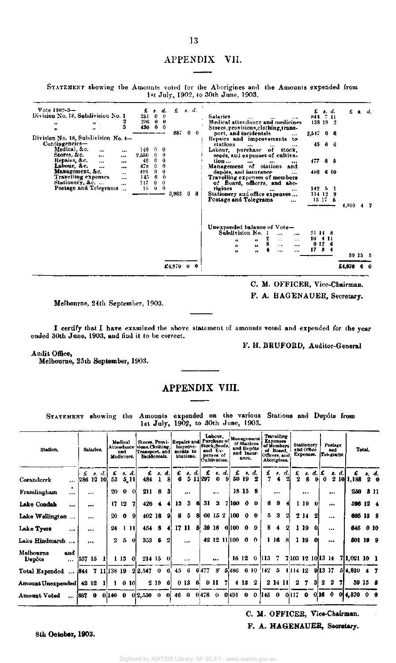# APPENDIX VII.

STATEMENT showing the Amounts voted for the Aborigines and the Amounts expended from 1st July, 1902, to 30th June, 1903.

|                                                                                                                                                                                                                                                                                   |                                                                                                                                                  | £4,870 O O |            |   |                                                                                                                                                                                                                                                                                                                                                 |                                                       |        | £4,870 |       |       |
|-----------------------------------------------------------------------------------------------------------------------------------------------------------------------------------------------------------------------------------------------------------------------------------|--------------------------------------------------------------------------------------------------------------------------------------------------|------------|------------|---|-------------------------------------------------------------------------------------------------------------------------------------------------------------------------------------------------------------------------------------------------------------------------------------------------------------------------------------------------|-------------------------------------------------------|--------|--------|-------|-------|
|                                                                                                                                                                                                                                                                                   |                                                                                                                                                  |            |            |   | Unexpended balance of Vote-<br>Subdivision No.<br>$\ddotsc$<br>$\cdots$<br>$\ddotsc$<br>$\cdots$<br>$\bullet\bullet$<br>23<br>$\cdots$<br>$\bullet$<br>$^{\bullet\bullet}$<br>$\alpha$ = $\alpha$<br>$\ddotsc$<br>$\bullet$<br>$\bullet$<br>                                                                                                    | 51 14 8<br>10<br>-4-11<br>012<br>17<br>8 <sub>4</sub> | 6      |        | 59155 |       |
| Contingencies-<br>Medical, &c.<br>$\mathbf{A}$<br><br>Stores, &c.<br>$\cdots$<br><br>Repairs, &c.<br>$\cdots$<br><br>Labour, &c.<br>$\ddotsc$<br><br>Management, &c.<br>$\cdots$<br>Travelling expenses<br><br>Stationery, &c.<br>$\ddotsc$<br>Postage and Telegrams<br>$\ddotsc$ | 140<br>0<br>0.<br>2,550<br>0<br>o<br>0<br>0<br>46<br>478<br>0<br>0<br>491<br>0<br>0<br>145<br>0<br>0<br>117<br>Ů<br>0<br>$\mathbf 0$<br>16<br>Ü. | 3,983      | 0          | 0 | stations<br><br><br>$\cdots$<br>Labour, purchase of stock,<br>seeds, and expenses of cultiva-<br>tion<br><br><br><br>Management of stations<br>and<br>depôts, and insurance<br><br>Travelling expenses of members<br>of Board, officers, and abo-<br>rigines<br><br><br><br>Stationery and office expenses<br>Postage and Telegrams<br>$\cdots$ | 4566<br>47785<br>486 6 10<br>142 5<br>114.12<br>15 17 | 9<br>ō | 4,810  |       |       |
| Vote 1902-3-<br>Division No. 18, Subdivision No. 1<br>2<br>22.1<br>$\bullet$<br>3<br>31.<br>m<br>Division No. 18, Subdivision No. 4-                                                                                                                                              | d.<br>£<br>₿.<br>0<br>251<br>0<br>$\mathbf 0$<br>206<br>$\mathbf 0$<br>430<br>0<br>$\Omega$                                                      | £<br>88.   | s. d.<br>0 | ₩ | Salaries<br>Medical attendance and medicines<br>Stores, provisions, clothing, trans-<br>port, and incidentals<br><br>Repairs and improvements to                                                                                                                                                                                                | 844 7 11<br>138 19 2<br>$2.517 \t0 \t6$               | s, d,  | £      |       | в. d. |

C. M. OFFICER, Vice-Chairman.

F. A. HAGENAUER, Secretary.

Melbourne, 24th September, 1903.

I certify that I have examined the above statement of amounts voted and expended for the year ended 30th June, 1903, and find it to be correct.

F. H. BRUFORD, Auditor-General

#### Audit Office,

Melbourne, 25th September, 1903.

# APPENDIX VIII.

STATEMENT showing the Amounts lst July, expended on the various Stations and Depots from 1902, to 30th June, 1903.

| Station.                                      | Salaries.                             |                | Medical<br>Attendance<br>and<br>Medicines. |     | Stores, Provi- Repairs and Purchase of<br>sions, Clothing,<br>Transport, and<br>Incidentals. |                |              |        | Improve-<br>ments to<br>Stations. |     | Stock Seeds.<br>Cultivation. | Labour,<br>and Ex-<br>penres of |                         |                                         | of Stations<br>and Insur-<br>ance. | Management<br>and Depôts |               | Travelling<br><b>Expenses</b><br>of Members<br>of Board,<br>Officers, and<br>Aborigines. |                |                        | Stationery<br>and Office<br>Expenses. |             |         | Postage<br>and <sup>1</sup><br>Teh grama |    |                                              | Total.  |            |
|-----------------------------------------------|---------------------------------------|----------------|--------------------------------------------|-----|----------------------------------------------------------------------------------------------|----------------|--------------|--------|-----------------------------------|-----|------------------------------|---------------------------------|-------------------------|-----------------------------------------|------------------------------------|--------------------------|---------------|------------------------------------------------------------------------------------------|----------------|------------------------|---------------------------------------|-------------|---------|------------------------------------------|----|----------------------------------------------|---------|------------|
| Coranderrk                                    | $\mathbf{f}$ $s$ , $d$ .<br>286 12 10 | £<br>53        | s, d.<br>5,11                              |     | £<br>484                                                                                     | $\mathbf{I}$   | s. d.<br>-81 | £<br>6 | s. d.                             |     | £<br>5 11 297                | 0                               | s. d.<br>9 <sub>l</sub> | £                                       | 50 19                              | s. d.<br>-2              | £             | я.<br>4                                                                                  | d.             | 2                      | 8                                     | 8. d.<br>91 | ١£<br>0 | đ.                                       | d. | 2 10 1, 188                                  |         | $2\degree$ |
| ٠<br>Framlingham<br>$\ddot{\phantom{a}}$      | $\cdots$                              |                | $20\quad 0$                                |     | 211                                                                                          | $\bf8$         | 31           |        | $\cdots$                          |     |                              |                                 |                         |                                         | 18158                              |                          |               | $\cdots$                                                                                 |                |                        | $\cdots$                              |             |         | $\cdots$                                 |    | 250 3 11                                     |         |            |
| Lake Condah<br>$\ddotsc$                      |                                       |                | 17 12                                      |     | 426                                                                                          | $\overline{4}$ | 41           | 13     | 3                                 | 61  | 31                           | 3                               |                         | 7 100                                   |                                    | 0 <sub>0</sub>           | 6             | 9                                                                                        |                |                        | 119                                   | O)          |         | $***$                                    |    | 596 12 4                                     |         |            |
| Lake Wellington                               | $\cdots$                              |                | 20.0                                       | -91 | 402 16                                                                                       |                | -91          |        | 85                                | -81 |                              |                                 |                         | 66 15 2 100                             |                                    | 0 <sub>0</sub>           | 5.            | $\mathbf{a}$                                                                             |                |                        | 214                                   |             |         |                                          |    | 605 15 8                                     |         |            |
| Lake Tyers<br>$\bullet\bullet\bullet$         |                                       | 24             | -111                                       |     | 454 8                                                                                        |                | 41           |        | 17 11                             | Ы   |                              |                                 |                         | 39 16 0 100 0 0                         |                                    |                          | 8.            | $\overline{4}$                                                                           | $\overline{2}$ |                        | 119                                   |             |         | $\cdots$                                 |    | 646 010                                      |         |            |
| Lake Hindmarsh                                | $\cdots$                              | $\overline{2}$ | -5                                         | -01 | 3536                                                                                         |                | 2            |        | $\ddotsc$                         |     |                              |                                 |                         | 42 12 11 100 0 0                        |                                    |                          |               | 1168                                                                                     |                |                        | 119                                   |             |         |                                          |    | 501 19 9                                     |         |            |
| Melbourne<br>and<br><b>Depôta</b><br>$\cdots$ | 557 15                                |                | II3 0                                      |     | $214$ 15 0                                                                                   |                |              |        | $\ddotsc$                         |     |                              | $\cdots$                        |                         |                                         |                                    |                          | $16120$ 113 7 |                                                                                          |                |                        |                                       |             |         |                                          |    | $7 103 \t12 \t10 13 \t14 \t7 1,021 \t10 \t1$ |         |            |
| Total Expended  [844 7 11] 138 19 2 2,547 0   |                                       |                |                                            |     |                                                                                              |                | 6.           |        |                                   |     |                              |                                 |                         | 45 6 6477 8 5486 6 10 142 5             |                                    |                          |               |                                                                                          |                | $1 114$ 12 9 13 17     |                                       |             |         |                                          |    | $5 4,810$ 4 7                                |         |            |
| Amount Unexpended   42 12 1                   |                                       | Ł              | 010                                        |     |                                                                                              | 2196           |              |        | 0136                              |     |                              | $0$ II 7                        |                         |                                         | 4 13 2                             |                          |               | 2 14 11                                                                                  |                | $\mathbf{2}^-$         | 7.                                    | 31          | 2       | - 2                                      |    |                                              | 59 15 5 |            |
| Amount Voted                                  | [887 0 0] 140 0 0] 2,550 0 0]         |                |                                            |     |                                                                                              |                |              |        |                                   |     |                              |                                 |                         | 46 0 $0\frac{1}{478}$ 0 0 491 0 0 145 0 |                                    |                          |               |                                                                                          |                | $0 117 \t0 \t0 16 \t0$ |                                       |             |         |                                          |    | $0 4,870 \quad 0 \quad 0$                    |         |            |

Digitised by AIATSIS Library, SF 25.3/1 - www.aiatsis

C. M. OFFICER, **Vice-Chairman.** 

F. **A. HAGENAUER, Secretary.** 

8th **October, 1903.**